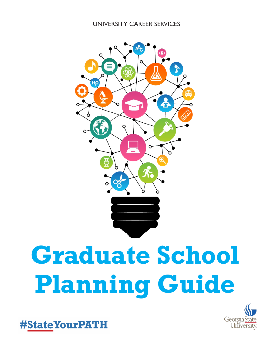#### UNIVERSITY CAREER SERVICES



# **Graduate School Planning Guide**



#StateYourPATH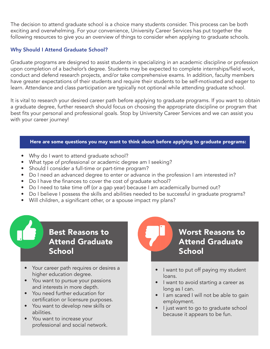The decision to attend graduate school is a choice many students consider. This process can be both exciting and overwhelming. For your convenience, University Career Services has put together the following resources to give you an overview of things to consider when applying to graduate schools.

#### Why Should I Attend Graduate School?

Graduate programs are designed to assist students in specializing in an academic discipline or profession upon completion of a bachelor's degree. Students may be expected to complete internships/field work, conduct and defend research projects, and/or take comprehensive exams. In addition, faculty members have greater expectations of their students and require their students to be self-motivated and eager to learn. Attendance and class participation are typically not optional while attending graduate school.

It is vital to research your desired career path before applying to graduate programs. If you want to obtain a graduate degree, further research should focus on choosing the appropriate discipline or program that best fits your personal and professional goals. Stop by University Career Services and we can assist you with your career journey!

#### Here are some questions you may want to think about before applying to graduate programs:

- Why do I want to attend graduate school?
- What type of professional or academic degree am I seeking?
- Should I consider a full-time or part-time program?
- Do I need an advanced degree to enter or advance in the profession I am interested in?
- Do I have the finances to cover the cost of graduate school?
- Do I need to take time off (or a gap year) because I am academically burned out?
- Do I believe I possess the skills and abilities needed to be successful in graduate programs?
- Will children, a significant other, or a spouse impact my plans?

## Best Reasons to Attend Graduate **School**

- Your career path requires or desires a higher education degree.
- You want to pursue your passions and interests in more depth.
- You need further education for certification or licensure purposes.
- You want to develop new skills or abilities.
- You want to increase your professional and social network.

## Worst Reasons to Attend Graduate **School**

- I want to put off paying my student loans.
- I want to avoid starting a career as long as I can.
- I am scared I will not be able to gain employment.
- I just want to go to graduate school because it appears to be fun.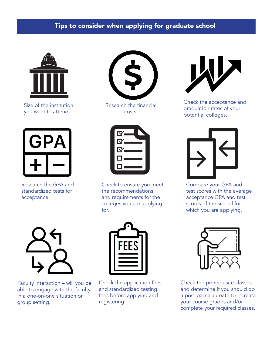### Tips to consider when applying for graduate school



Size of the institution you want to attend.



Research the GPA and standardized tests for acceptance.



Research the financial costs.



Check to ensure you meet the recommendations and requirements for the colleges you are applying for.



Check the acceptance and graduation rates of your potential colleges.



Compare your GPA and test scores with the average acceptance GPA and test scores of the school for which you are applying.



Faculty interaction – will you be able to engage with the faculty in a one-on-one situation or group setting.



Check the application fees and standardized testing fees before applying and registering.



Check the prerequisite classes and determine if you should do a post baccalaureate to increase your course grades and/or complete your required classes.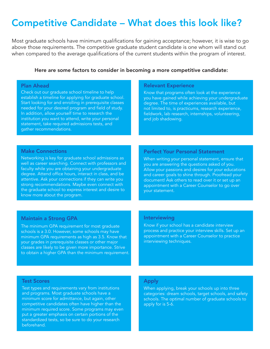## Competitive Candidate – What does this look like?

Most graduate schools have minimum qualifications for gaining acceptance; however, it is wise to go above those requirements. The competitive graduate student candidate is one whom will stand out when compared to the average qualifications of the current students within the program of interest.

#### Here are some factors to consider in becoming a more competitive candidate:

#### Plan Ahead

Check out our graduate school timeline to help establish a timeline for applying for graduate school. Start looking for and enrolling in prerequisite classes needed for your desired program and field of study. In addition, allow yourself time to research the institution you want to attend, write your personal statement, take required admissions tests, and gather recommendations.

#### Relevant Experience

Know that programs often look at the experience you have gained while achieving your undergraduate degree. The time of experiences available, but not limited to, is practicums, research experience, fieldwork, lab research, internships, volunteering, and job shadowing.

#### Make Connections

Networking is key for graduate school admissions as well as career searching. Connect with professors and faculty while you are obtaining your undergraduate degree. Attend office hours, interact in class, and be attentive. Ask your connections if they can write you strong recommendations. Maybe even connect with the graduate school to express interest and desire to know more about the program.

#### Perfect Your Personal Statement

When writing your personal statement, ensure that you are answering the questions asked of you. Allow your passions and desires for your educations and career goals to shine through. Proofread your document! Ask others to read over it or set up an appointment with a Career Counselor to go over your statement.

#### Maintain a Strong GPA

The minimum GPA requirement for most graduate schools is a 3.0. However, some schools may have minimum GPA requirements as high as 3.5. Know that your grades in prerequisite classes or other major classes are likely to be given more importance. Strive to obtain a higher GPA than the minimum requirement.

#### Interviewing

Know if your school has a candidate interview process and practice your interview skills. Set up an appointment with a Career Counselor to practice interviewing techniques.

#### Test Scores

Test types and requirements vary from institutions and programs. Most graduate schools have a minimum score for admittance, but again, other competitive candidates often have higher than the minimum required score. Some programs may even put a greater emphasis on certain portions of the standardized tests, so be sure to do your research beforehand.

#### Apply

When applying, break your schools up into three categories: dream schools, target schools, and safety schools. The optimal number of graduate schools to apply for is 5-6.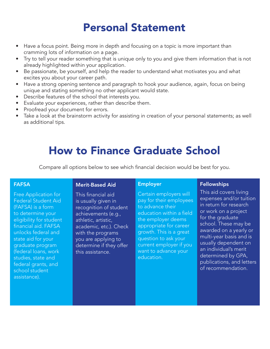## Personal Statement

- Have a focus point. Being more in depth and focusing on a topic is more important than cramming lots of information on a page.
- Try to tell your reader something that is unique only to you and give them information that is not already highlighted within your application.
- Be passionate, be yourself, and help the reader to understand what motivates you and what excites you about your career path.
- Have a strong opening sentence and paragraph to hook your audience, again, focus on being unique and stating something no other applicant would state.
- Describe features of the school that interests you.
- Evaluate your experiences, rather than describe them.
- Proofread your document for errors.
- Take a look at the brainstorm activity for assisting in creation of your personal statements; as well as additional tips.

# How to Finance Graduate School

Compare all options below to see which financial decision would be best for you.

#### FAFSA

Free Application for Federal Student Aid (FAFSA) is a form to determine your eligibility for student financial aid. FAFSA unlocks federal and state aid for your graduate program (federal loans, work studies, state and federal grants, and school student assistance).

#### Merit-Based Aid

This financial aid is usually given in recognition of student achievements (e.g., athletic, artistic, academic, etc.). Check with the programs you are applying to determine if they offer this assistance.

#### Employer

Certain employers will pay for their employees to advance their education within a field the employer deems appropriate for career growth. This is a great question to ask your current employer if you want to advance your education.

#### Fellowships

This aid covers living expenses and/or tuition in return for research or work on a project for the graduate school. These may be awarded on a yearly or multi-year basis and is usually dependent on an individual's merit determined by GPA, publications, and letters of recommendation.